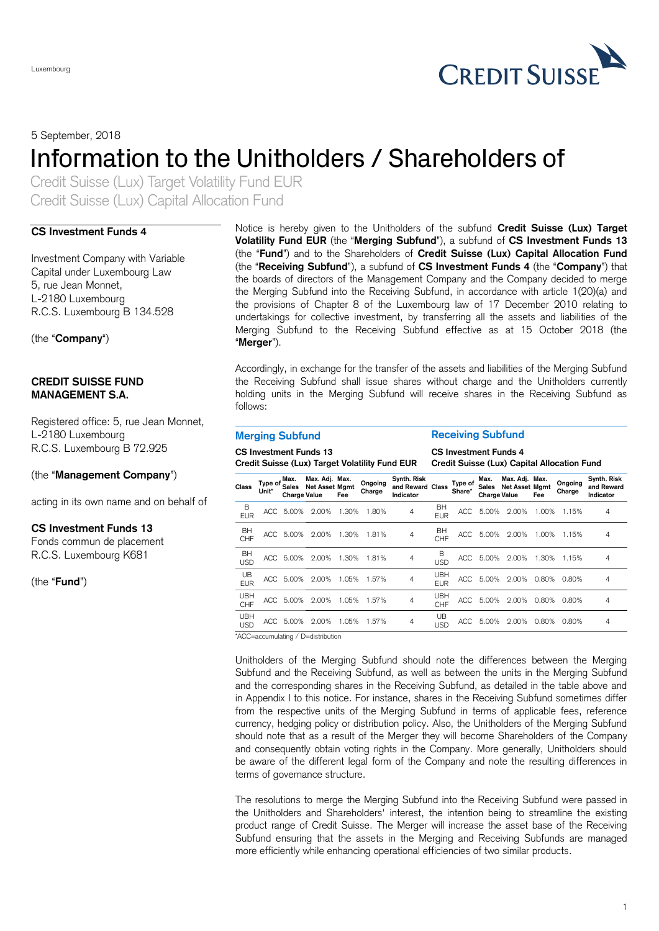

5 September, 2018

# Information to the Unitholders / Shareholders of

Credit Suisse (Lux) Target Volatility Fund EUR Credit Suisse (Lux) Capital Allocation Fund

#### **CS Investment Funds 4**

Investment Company with Variable Capital under Luxembourg Law 5, rue Jean Monnet, L-2180 Luxembourg R.C.S. Luxembourg B 134.528

(the "**Company**")

### **CREDIT SUISSE FUND MANAGEMENT S.A.**

Registered office: 5, rue Jean Monnet, L-2180 Luxembourg R.C.S. Luxembourg B 72.925

### (the "**Management Company**")

acting in its own name and on behalf of

### **CS Investment Funds 13**

Fonds commun de placement R.C.S. Luxembourg K681

(the "**Fund**")

Notice is hereby given to the Unitholders of the subfund **Credit Suisse (Lux) Target Volatility Fund EUR** (the "**Merging Subfund**"), a subfund of **CS Investment Funds 13** (the "**Fund**") and to the Shareholders of **Credit Suisse (Lux) Capital Allocation Fund** (the "**Receiving Subfund**"), a subfund of **CS Investment Funds 4** (the "**Company**") that the boards of directors of the Management Company and the Company decided to merge the Merging Subfund into the Receiving Subfund, in accordance with article 1(20)(a) and the provisions of Chapter 8 of the Luxembourg law of 17 December 2010 relating to undertakings for collective investment, by transferring all the assets and liabilities of the Merging Subfund to the Receiving Subfund effective as at 15 October 2018 (the "**Merger**").

Accordingly, in exchange for the transfer of the assets and liabilities of the Merging Subfund the Receiving Subfund shall issue shares without charge and the Unitholders currently holding units in the Merging Subfund will receive shares in the Receiving Subfund as follows:

## **Merging Subfund Receiving Subfund**

**CS Investment Funds 13**

**CS Investment Funds 4**

| Credit Suisse (Lux) Target Volatility Fund EUR |                  |                                             |                                         |       |                   |                                              |                          | Credit Suisse (Lux) Capital Allocation Fund |                               |                                         |       |                   |                                        |  |
|------------------------------------------------|------------------|---------------------------------------------|-----------------------------------------|-------|-------------------|----------------------------------------------|--------------------------|---------------------------------------------|-------------------------------|-----------------------------------------|-------|-------------------|----------------------------------------|--|
| <b>Class</b>                                   | Type of<br>Unit* | Max.<br><b>Sales</b><br><b>Charge Value</b> | Max. Adj. Max.<br><b>Net Asset Mamt</b> | Fee   | Ongoing<br>Charge | Synth. Risk<br>and Reward Class<br>Indicator |                          | Type of<br>Share*                           | Max.<br>Sales<br>Charge Value | Max. Adj. Max.<br><b>Net Asset Mamt</b> | Fee   | Ongoing<br>Charge | Synth. Risk<br>and Reward<br>Indicator |  |
| B<br><b>EUR</b>                                | ACC.             | 5.00%                                       | 2.00%                                   | 1.30% | 1.80%             | 4                                            | BH<br><b>EUR</b>         | ACC.                                        | 5.00%                         | 2.00%                                   | 1.00% | 1.15%             | 4                                      |  |
| BH<br>CHF                                      | ACC              | 5.00%                                       | 2.00%                                   | 1.30% | 1.81%             | 4                                            | BH<br>CHF                | ACC                                         | 5.00%                         | 2.00%                                   | 1.00% | 1.15%             | 4                                      |  |
| BH<br><b>USD</b>                               | ACC              | 5.00%                                       | 2.00%                                   | 1.30% | 1.81%             | 4                                            | в<br><b>USD</b>          | ACC                                         | 5.00%                         | 2.00%                                   | 1.30% | 1.15%             | 4                                      |  |
| UB.<br><b>EUR</b>                              |                  | ACC 5.00%                                   | 2.00%                                   | 1.05% | 1.57%             | 4                                            | <b>UBH</b><br><b>EUR</b> | ACC                                         | 5.00%                         | 2.00%                                   | 0.80% | 0.80%             | 4                                      |  |
| <b>UBH</b><br>CHF                              | ACC              | 5.00%                                       | 2.00%                                   | 1.05% | 1.57%             | 4                                            | <b>UBH</b><br>CHF        | ACC                                         | 5.00%                         | 2.00%                                   | 0.80% | 0.80%             | 4                                      |  |
| <b>UBH</b><br><b>USD</b>                       |                  | ACC 5.00%                                   | 2.00%                                   | 1.05% | 1.57%             | 4                                            | UB<br><b>USD</b>         | ACC                                         | 5.00%                         | 2.00%                                   | 0.80% | 0.80%             | 4                                      |  |

\*ACC=accumulating / D=distribution

Unitholders of the Merging Subfund should note the differences between the Merging Subfund and the Receiving Subfund, as well as between the units in the Merging Subfund and the corresponding shares in the Receiving Subfund, as detailed in the table above and in Appendix I to this notice. For instance, shares in the Receiving Subfund sometimes differ from the respective units of the Merging Subfund in terms of applicable fees, reference currency, hedging policy or distribution policy. Also, the Unitholders of the Merging Subfund should note that as a result of the Merger they will become Shareholders of the Company and consequently obtain voting rights in the Company. More generally, Unitholders should be aware of the different legal form of the Company and note the resulting differences in terms of governance structure.

The resolutions to merge the Merging Subfund into the Receiving Subfund were passed in the Unitholders and Shareholders' interest, the intention being to streamline the existing product range of Credit Suisse. The Merger will increase the asset base of the Receiving Subfund ensuring that the assets in the Merging and Receiving Subfunds are managed more efficiently while enhancing operational efficiencies of two similar products.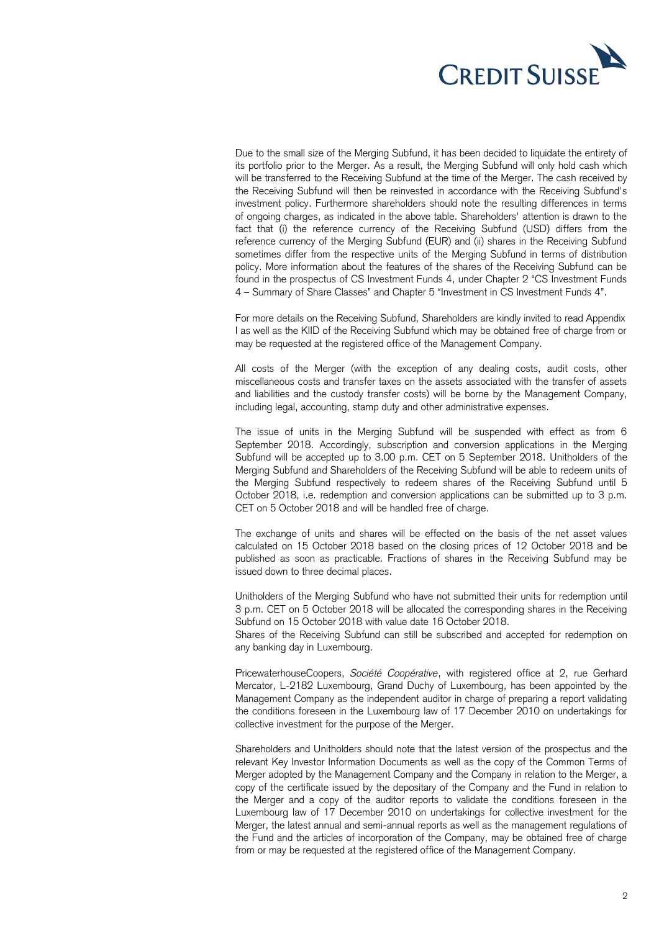

Due to the small size of the Merging Subfund, it has been decided to liquidate the entirety of its portfolio prior to the Merger. As a result, the Merging Subfund will only hold cash which will be transferred to the Receiving Subfund at the time of the Merger. The cash received by the Receiving Subfund will then be reinvested in accordance with the Receiving Subfund's investment policy. Furthermore shareholders should note the resulting differences in terms of ongoing charges, as indicated in the above table. Shareholders' attention is drawn to the fact that (i) the reference currency of the Receiving Subfund (USD) differs from the reference currency of the Merging Subfund (EUR) and (ii) shares in the Receiving Subfund sometimes differ from the respective units of the Merging Subfund in terms of distribution policy. More information about the features of the shares of the Receiving Subfund can be found in the prospectus of CS Investment Funds 4, under Chapter 2 "CS Investment Funds 4 – Summary of Share Classes" and Chapter 5 "Investment in CS Investment Funds 4".

For more details on the Receiving Subfund, Shareholders are kindly invited to read Appendix I as well as the KIID of the Receiving Subfund which may be obtained free of charge from or may be requested at the registered office of the Management Company.

All costs of the Merger (with the exception of any dealing costs, audit costs, other miscellaneous costs and transfer taxes on the assets associated with the transfer of assets and liabilities and the custody transfer costs) will be borne by the Management Company, including legal, accounting, stamp duty and other administrative expenses.

The issue of units in the Merging Subfund will be suspended with effect as from 6 September 2018. Accordingly, subscription and conversion applications in the Merging Subfund will be accepted up to 3.00 p.m. CET on 5 September 2018. Unitholders of the Merging Subfund and Shareholders of the Receiving Subfund will be able to redeem units of the Merging Subfund respectively to redeem shares of the Receiving Subfund until 5 October 2018, i.e. redemption and conversion applications can be submitted up to 3 p.m. CET on 5 October 2018 and will be handled free of charge.

The exchange of units and shares will be effected on the basis of the net asset values calculated on 15 October 2018 based on the closing prices of 12 October 2018 and be published as soon as practicable. Fractions of shares in the Receiving Subfund may be issued down to three decimal places.

Unitholders of the Merging Subfund who have not submitted their units for redemption until 3 p.m. CET on 5 October 2018 will be allocated the corresponding shares in the Receiving Subfund on 15 October 2018 with value date 16 October 2018.

Shares of the Receiving Subfund can still be subscribed and accepted for redemption on any banking day in Luxembourg.

PricewaterhouseCoopers, *Société Coopérative*, with registered office at 2, rue Gerhard Mercator, L-2182 Luxembourg, Grand Duchy of Luxembourg, has been appointed by the Management Company as the independent auditor in charge of preparing a report validating the conditions foreseen in the Luxembourg law of 17 December 2010 on undertakings for collective investment for the purpose of the Merger.

Shareholders and Unitholders should note that the latest version of the prospectus and the relevant Key Investor Information Documents as well as the copy of the Common Terms of Merger adopted by the Management Company and the Company in relation to the Merger, a copy of the certificate issued by the depositary of the Company and the Fund in relation to the Merger and a copy of the auditor reports to validate the conditions foreseen in the Luxembourg law of 17 December 2010 on undertakings for collective investment for the Merger, the latest annual and semi-annual reports as well as the management regulations of the Fund and the articles of incorporation of the Company, may be obtained free of charge from or may be requested at the registered office of the Management Company.